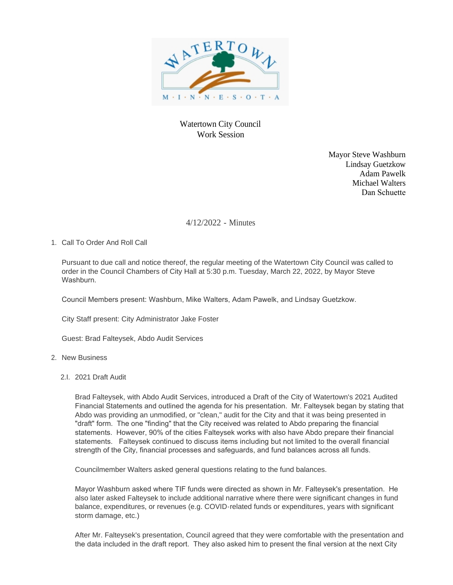

## Watertown City Council Work Session

Mayor Steve Washburn Lindsay Guetzkow Adam Pawelk Michael Walters Dan Schuette

## 4/12/2022 - Minutes

1. Call To Order And Roll Call

Pursuant to due call and notice thereof, the regular meeting of the Watertown City Council was called to order in the Council Chambers of City Hall at 5:30 p.m. Tuesday, March 22, 2022, by Mayor Steve Washburn.

Council Members present: Washburn, Mike Walters, Adam Pawelk, and Lindsay Guetzkow.

City Staff present: City Administrator Jake Foster

Guest: Brad Falteysek, Abdo Audit Services

## 2. New Business

2.I. 2021 Draft Audit

Brad Falteysek, with Abdo Audit Services, introduced a Draft of the City of Watertown's 2021 Audited Financial Statements and outlined the agenda for his presentation. Mr. Falteysek began by stating that Abdo was providing an unmodified, or "clean," audit for the City and that it was being presented in "draft" form. The one "finding" that the City received was related to Abdo preparing the financial statements. However, 90% of the cities Falteysek works with also have Abdo prepare their financial statements. Falteysek continued to discuss items including but not limited to the overall financial strength of the City, financial processes and safeguards, and fund balances across all funds.

Councilmember Walters asked general questions relating to the fund balances.

Mayor Washburn asked where TIF funds were directed as shown in Mr. Falteysek's presentation. He also later asked Falteysek to include additional narrative where there were significant changes in fund balance, expenditures, or revenues (e.g. COVID-related funds or expenditures, years with significant storm damage, etc.)

After Mr. Falteysek's presentation, Council agreed that they were comfortable with the presentation and the data included in the draft report. They also asked him to present the final version at the next City